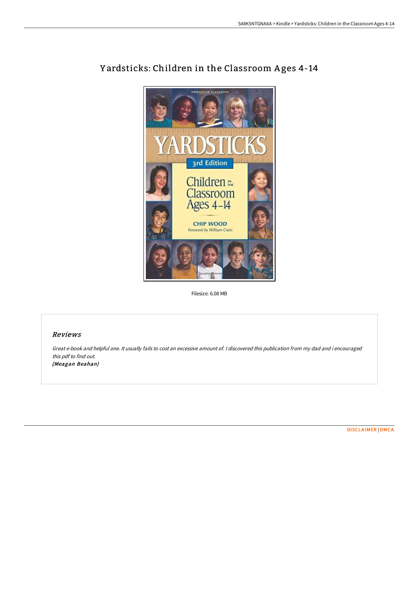

# Yardsticks: Children in the Classroom Ages 4-14

Filesize: 6.08 MB

### Reviews

Great e-book and helpful one. It usually fails to cost an excessive amount of. <sup>I</sup> discovered this publication from my dad and i encouraged this pdf to find out. (Meagan Beahan)

[DISCLAIMER](http://bookera.tech/disclaimer.html) | [DMCA](http://bookera.tech/dmca.html)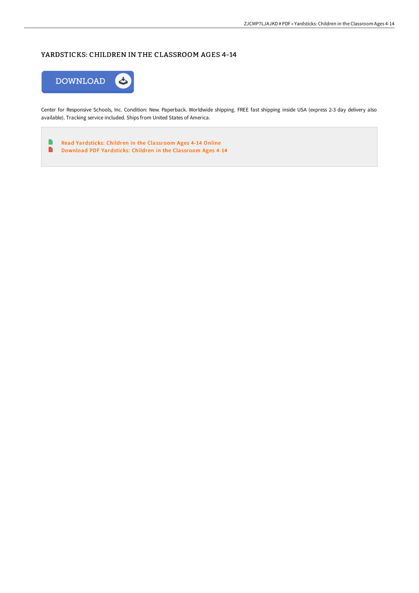## YARDSTICKS: CHILDREN IN THE CLASSROOM AGES 4-14



Center for Responsive Schools, Inc. Condition: New. Paperback. Worldwide shipping. FREE fast shipping inside USA (express 2-3 day delivery also available). Tracking service included. Ships from United States of America.

 $\qquad \qquad \blacksquare$ Read [Yardsticks:](http://bookera.tech/yardsticks-children-in-the-classroom-ages-4-14.html) Children in the Classroom Ages 4-14 Online  $\blacksquare$ Download PDF [Yardsticks:](http://bookera.tech/yardsticks-children-in-the-classroom-ages-4-14.html) Children in the Classroom Ages 4-14